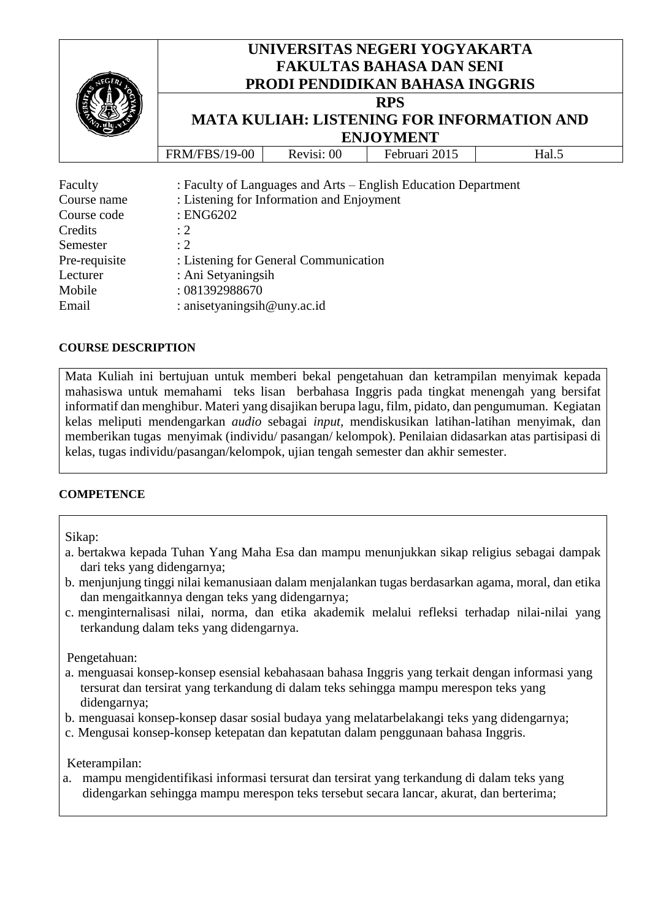|                                       | UNIVERSITAS NEGERI YOGYAKARTA<br><b>FAKULTAS BAHASA DAN SENI</b><br><b>PRODI PENDIDIKAN BAHASA INGGRIS</b><br><b>RPS</b><br><b>MATA KULIAH: LISTENING FOR INFORMATION AND</b><br><b>ENJOYMENT</b> |  |                                                                |  |  |
|---------------------------------------|---------------------------------------------------------------------------------------------------------------------------------------------------------------------------------------------------|--|----------------------------------------------------------------|--|--|
|                                       |                                                                                                                                                                                                   |  |                                                                |  |  |
| Faculty<br>Course name<br>Course code | : Listening for Information and Enjoyment<br>$:$ ENG6202                                                                                                                                          |  | : Faculty of Languages and Arts – English Education Department |  |  |
| Credits                               | $\div 2$                                                                                                                                                                                          |  |                                                                |  |  |
| Semester                              | : 2                                                                                                                                                                                               |  |                                                                |  |  |
| Pre-requisite                         | : Listening for General Communication                                                                                                                                                             |  |                                                                |  |  |
| Lecturer                              | : Ani Setyaningsih                                                                                                                                                                                |  |                                                                |  |  |

#### **COURSE DESCRIPTION**

Mobile : 081392988670

Email : anisetyaningsih@uny.ac.id

Mata Kuliah ini bertujuan untuk memberi bekal pengetahuan dan ketrampilan menyimak kepada mahasiswa untuk memahami teks lisan berbahasa Inggris pada tingkat menengah yang bersifat informatif dan menghibur. Materi yang disajikan berupa lagu, film, pidato, dan pengumuman. Kegiatan kelas meliputi mendengarkan *audio* sebagai *input,* mendiskusikan latihan-latihan menyimak, dan memberikan tugas menyimak (individu/ pasangan/ kelompok). Penilaian didasarkan atas partisipasi di kelas, tugas individu/pasangan/kelompok, ujian tengah semester dan akhir semester.

#### **COMPETENCE**

Sikap:

- a. bertakwa kepada Tuhan Yang Maha Esa dan mampu menunjukkan sikap religius sebagai dampak dari teks yang didengarnya;
- b. menjunjung tinggi nilai kemanusiaan dalam menjalankan tugas berdasarkan agama, moral, dan etika dan mengaitkannya dengan teks yang didengarnya;
- c. menginternalisasi nilai, norma, dan etika akademik melalui refleksi terhadap nilai-nilai yang terkandung dalam teks yang didengarnya.

Pengetahuan:

- a. menguasai konsep-konsep esensial kebahasaan bahasa Inggris yang terkait dengan informasi yang tersurat dan tersirat yang terkandung di dalam teks sehingga mampu merespon teks yang didengarnya;
- b. menguasai konsep-konsep dasar sosial budaya yang melatarbelakangi teks yang didengarnya;
- c. Mengusai konsep-konsep ketepatan dan kepatutan dalam penggunaan bahasa Inggris.

Keterampilan:

a. mampu mengidentifikasi informasi tersurat dan tersirat yang terkandung di dalam teks yang didengarkan sehingga mampu merespon teks tersebut secara lancar, akurat, dan berterima;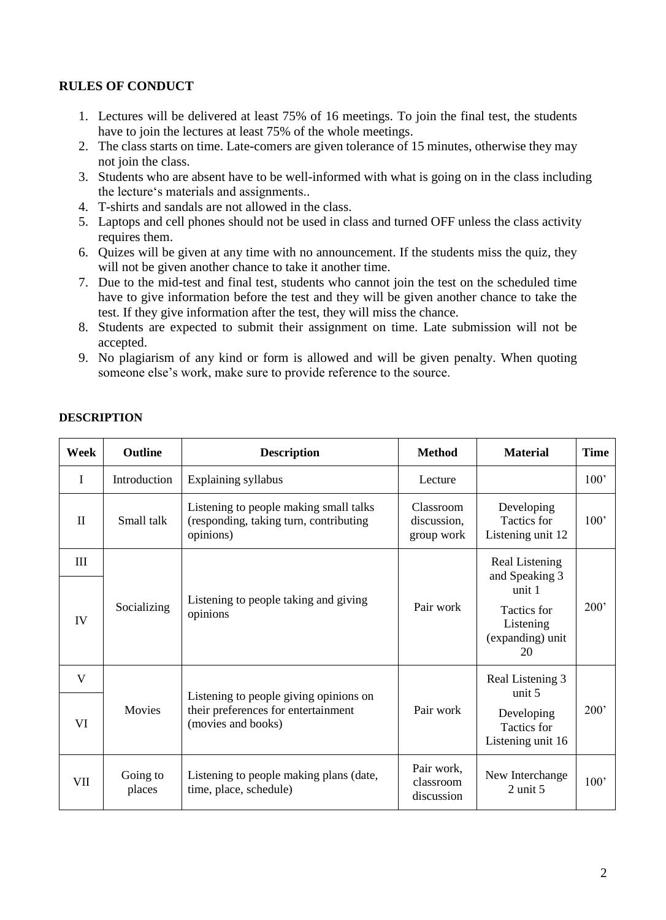## **RULES OF CONDUCT**

- 1. Lectures will be delivered at least 75% of 16 meetings. To join the final test, the students have to join the lectures at least 75% of the whole meetings.
- 2. The class starts on time. Late-comers are given tolerance of 15 minutes, otherwise they may not join the class.
- 3. Students who are absent have to be well-informed with what is going on in the class including the lecture's materials and assignments..
- 4. T-shirts and sandals are not allowed in the class.
- 5. Laptops and cell phones should not be used in class and turned OFF unless the class activity requires them.
- 6. Quizes will be given at any time with no announcement. If the students miss the quiz, they will not be given another chance to take it another time.
- 7. Due to the mid-test and final test, students who cannot join the test on the scheduled time have to give information before the test and they will be given another chance to take the test. If they give information after the test, they will miss the chance.
- 8. Students are expected to submit their assignment on time. Late submission will not be accepted.
- 9. No plagiarism of any kind or form is allowed and will be given penalty. When quoting someone else's work, make sure to provide reference to the source.

| Week         | <b>Outline</b>                                            | <b>Description</b>                                                                            | <b>Method</b>                                  | <b>Material</b>                                    | <b>Time</b> |
|--------------|-----------------------------------------------------------|-----------------------------------------------------------------------------------------------|------------------------------------------------|----------------------------------------------------|-------------|
| I            | Introduction                                              | Explaining syllabus                                                                           | Lecture                                        |                                                    | 100'        |
| $\mathbf{H}$ | Small talk                                                | Listening to people making small talks<br>(responding, taking turn, contributing<br>opinions) | Classroom<br>discussion,<br>group work         | Developing<br>Tactics for<br>Listening unit 12     | 100'        |
| III          |                                                           |                                                                                               |                                                | Real Listening<br>and Speaking 3                   |             |
|              |                                                           | Listening to people taking and giving                                                         |                                                | unit 1                                             |             |
| IV           | Socializing                                               | opinions                                                                                      | Pair work                                      | Tactics for<br>Listening<br>(expanding) unit<br>20 | 200'        |
| V            |                                                           | Listening to people giving opinions on                                                        |                                                | Real Listening 3<br>unit $5$                       |             |
| Movies<br>VI | their preferences for entertainment<br>(movies and books) | Pair work                                                                                     | Developing<br>Tactics for<br>Listening unit 16 | 200'                                               |             |
| VII          | Going to<br>places                                        | Listening to people making plans (date,<br>time, place, schedule)                             | Pair work,<br>classroom<br>discussion          | New Interchange<br>$2$ unit $5$                    | 100'        |

#### **DESCRIPTION**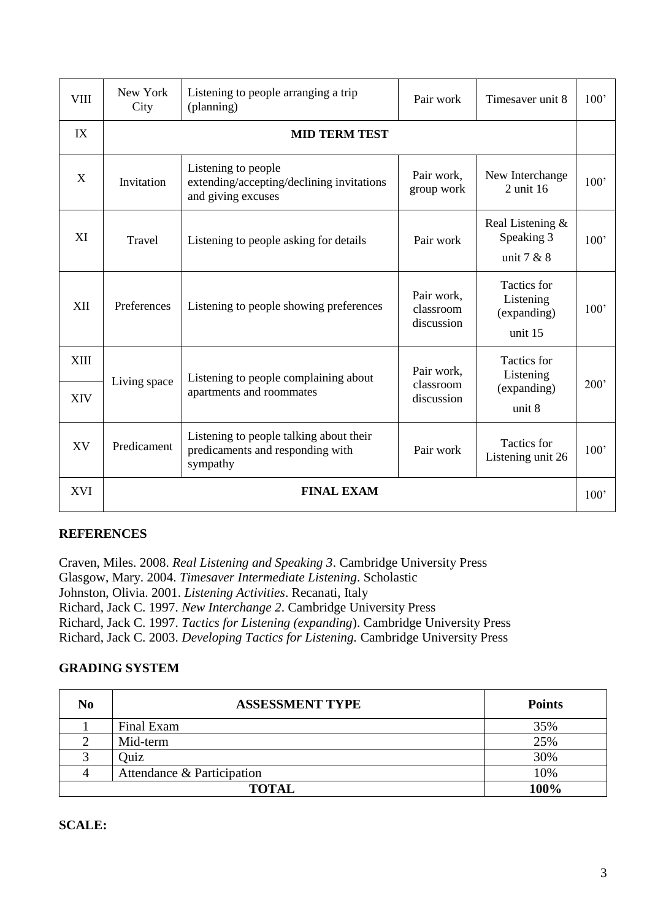| VIII        | New York<br>City     | Listening to people arranging a trip<br>(planning)                                      | Pair work                             | Timesaver unit 8                                          | 100' |
|-------------|----------------------|-----------------------------------------------------------------------------------------|---------------------------------------|-----------------------------------------------------------|------|
| IX          | <b>MID TERM TEST</b> |                                                                                         |                                       |                                                           |      |
| X           | Invitation           | Listening to people<br>extending/accepting/declining invitations<br>and giving excuses  | Pair work,<br>group work              | New Interchange<br>2 unit 16                              | 100' |
| XI          | Travel               | Listening to people asking for details                                                  | Pair work                             | Real Listening &<br>Speaking 3<br>unit $7 & 8$            | 100' |
| XII         | Preferences          | Listening to people showing preferences                                                 | Pair work,<br>classroom<br>discussion | <b>Tactics</b> for<br>Listening<br>(expanding)<br>unit 15 | 100' |
| <b>XIII</b> | Living space         | Listening to people complaining about                                                   | Pair work,                            | <b>Tactics</b> for<br>Listening                           |      |
| <b>XIV</b>  |                      | apartments and roommates                                                                | classroom<br>discussion               | (expanding)<br>unit 8                                     | 200' |
| XV          | Predicament          | Listening to people talking about their<br>predicaments and responding with<br>sympathy | Pair work                             | <b>Tactics</b> for<br>Listening unit 26                   | 100' |
| <b>XVI</b>  |                      | <b>FINAL EXAM</b>                                                                       |                                       |                                                           | 100' |

## **REFERENCES**

Craven, Miles. 2008. *Real Listening and Speaking 3*. Cambridge University Press Glasgow, Mary. 2004. *Timesaver Intermediate Listening*. Scholastic Johnston, Olivia. 2001. *Listening Activities*. Recanati, Italy Richard, Jack C. 1997. *New Interchange 2*. Cambridge University Press Richard, Jack C. 1997. *Tactics for Listening (expanding*). Cambridge University Press Richard, Jack C. 2003. *Developing Tactics for Listening.* Cambridge University Press

# **GRADING SYSTEM**

| No                   | <b>ASSESSMENT TYPE</b>     | <b>Points</b> |
|----------------------|----------------------------|---------------|
|                      | Final Exam                 | 35%           |
|                      | Mid-term                   | 25%           |
|                      | Quiz                       | 30%           |
| 4                    | Attendance & Participation | 10%           |
| 100%<br><b>TOTAL</b> |                            |               |

### **SCALE:**